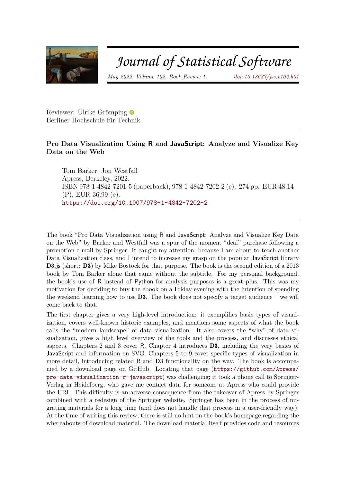

## Journal of Statistical Software

*May 2022, Volume 102, Book Review 1. [doi: 10.18637/jss.v102.b01](https://doi.org/10.18637/jss.v102.b01)*

Reviewer: Ulrike Grömping Berliner Hochschule für Technik

## **Pro Data Visualization Using R and JavaScript: Analyze and Visualize Key Data on the Web**

Tom Barker, Jon Westfall Apress, Berkeley, 2022. ISBN 978-1-4842-7201-5 (paperback), 978-1-4842-7202-2 (e). 274 pp. EUR 48.14 (P), EUR 36.99 (e). <https://doi.org/10.1007/978-1-4842-7202-2>

The book "Pro Data Visualization using R and JavaScript: Analyze and Visualize Key Data on the Web" by Barker and Westfall was a spur of the moment "deal" purchase following a promotion e-mail by Springer. It caught my attention, because I am about to teach another Data Visualization class, and I intend to increase my grasp on the popular JavaScript library D3.js (short: D3) by Mike Bostock for that purpose. The book is the second edition of a 2013 book by Tom Barker alone that came without the subtitle. For my personal background, the book's use of R instead of Python for analysis purposes is a great plus. This was my motivation for deciding to buy the ebook on a Friday evening with the intention of spending the weekend learning how to use  $\mathbf{D3}$ . The book does not specify a target audience – we will come back to that.

The first chapter gives a very high-level introduction: it exemplifies basic types of visualization, covers well-known historic examples, and mentions some aspects of what the book calls the "modern landscape" of data visualization. It also covers the "why" of data visualization, gives a high level overview of the tools and the process, and discusses ethical aspects. Chapters 2 and 3 cover R, Chapter 4 introduces D3, including the very basics of JavaScript and information on SVG. Chapters 5 to 9 cover specific types of visualization in more detail, introducing related R and D3 functionality on the way. The book is accompanied by a download page on GitHub. Locating that page ([https://github.com/Apress/](https://github.com/Apress/pro-data-visualization-r-javascript) [pro-data-visualization-r-javascript](https://github.com/Apress/pro-data-visualization-r-javascript)) was challenging; it took a phone call to Springer-Verlag in Heidelberg, who gave me contact data for someone at Apress who could provide the URL. This difficulty is an adverse consequence from the takeover of Apress by Springer combined with a redesign of the Springer website. Springer has been in the process of migrating materials for a long time (and does not handle that process in a user-friendly way). At the time of writing this review, there is still no hint on the book's homepage regarding the whereabouts of download material. The download material itself provides code and resources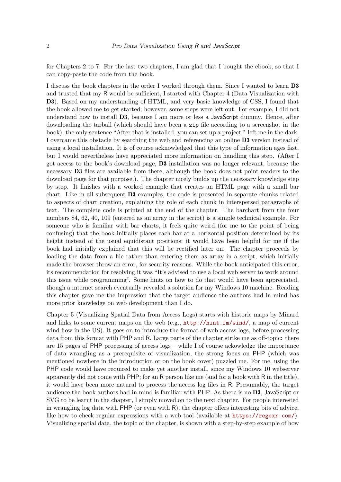for Chapters 2 to 7. For the last two chapters, I am glad that I bought the ebook, so that I can copy-paste the code from the book.

I discuss the book chapters in the order I worked through them. Since I wanted to learn D3 and trusted that my R would be sufficient, I started with Chapter 4 (Data Visualization with D3). Based on my understanding of HTML, and very basic knowledge of CSS, I found that the book allowed me to get started; however, some steps were left out. For example, I did not understand how to install D3, because I am more or less a JavaScript dummy. Hence, after downloading the tarball (which should have been a zip file according to a screenshot in the book), the only sentence "After that is installed, you can set up a project." left me in the dark. I overcame this obstacle by searching the web and referencing an online D3 version instead of using a local installation. It is of course acknowledged that this type of information ages fast, but I would nevertheless have appreciated more information on handling this step. (After I got access to the book's download page, D3 installation was no longer relevant, because the necessary **D3** files are available from there, although the book does not point readers to the download page for that purpose.). The chapter nicely builds up the necessary knowledge step by step. It finishes with a worked example that creates an HTML page with a small bar chart. Like in all subsequent D3 examples, the code is presented in separate chunks related to aspects of chart creation, explaining the role of each chunk in interspersed paragraphs of text. The complete code is printed at the end of the chapter. The barchart from the four numbers 84, 62, 40, 109 (entered as an array in the script) is a simple technical example. For someone who is familiar with bar charts, it feels quite weird (for me to the point of being confusing) that the book initially places each bar at a horizontal position determined by its height instead of the usual equidistant positions; it would have been helpful for me if the book had initially explained that this will be rectified later on. The chapter proceeds by loading the data from a file rather than entering them as array in a script, which initially made the browser throw an error, for security reasons. While the book anticipated this error, its recommendation for resolving it was "It's advised to use a local web server to work around this issue while programming". Some hints on how to do that would have been appreciated, though a internet search eventually revealed a solution for my Windows 10 machine. Reading this chapter gave me the impression that the target audience the authors had in mind has more prior knowledge on web development than I do.

Chapter 5 (Visualizing Spatial Data from Access Logs) starts with historic maps by Minard and links to some current maps on the web (e.g., <http://hint.fm/wind/>, a map of current wind flow in the US). It goes on to introduce the format of web access logs, before processing data from this format with PHP and R. Large parts of the chapter strike me as off-topic: there are 15 pages of PHP processing of access logs – while I of course ackowledge the importance of data wrangling as a prerequisite of visualization, the strong focus on PHP (which was mentioned nowhere in the introduction or on the book cover) puzzled me. For me, using the PHP code would have required to make yet another install, since my Windows 10 webserver apparently did not come with PHP; for an R person like me (and for a book with R in the title), it would have been more natural to process the access log files in R. Presumably, the target audience the book authors had in mind is familiar with PHP. As there is no D3, JavaScript or SVG to be learnt in the chapter, I simply moved on to the next chapter. For people interested in wrangling log data with PHP (or even with R), the chapter offers interesting bits of advice, like how to check regular expressions with a web tool (available at <https://regexr.com/>). Visualizing spatial data, the topic of the chapter, is shown with a step-by-step example of how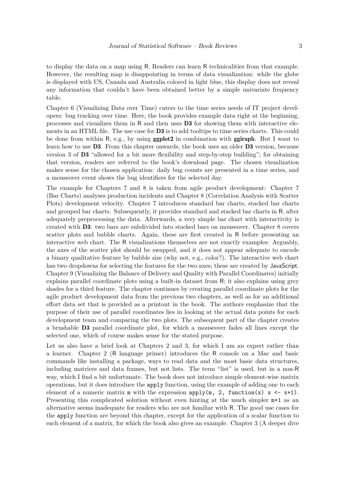to display the data on a map using R. Readers can learn R technicalities from that example. However, the resulting map is disappointing in terms of data visualization: while the globe is displayed with US, Canada and Australia colored in light blue, this display does not reveal any information that couldn't have been obtained better by a simple univariate frequency table.

Chapter 6 (Visualizing Data over Time) caters to the time series needs of IT project developers: bug tracking over time. Here, the book provides example data right at the beginning, processes and visualizes them in R and then uses  $\overline{D}3$  for showing them with interactive elements in an HTML file. The use case for **D3** is to add tooltips to time series charts. This could be done from within R, e.g., by using ggplot2 in combination with ggiraph. But I want to learn how to use D3. From this chapter onwards, the book uses an older D3 version, because version 3 of D3 "allowed for a bit more flexibility and step-by-step building"; for obtaining that version, readers are referred to the book's download page. The chosen visualization makes sense for the chosen application: daily bug counts are presented in a time series, and a mouseover event shows the bug identifiers for the selected day.

The example for Chapters 7 and 8 is taken from agile product development: Chapter 7 (Bar Charts) analyses production incidents and Chapter 8 (Correlation Analysis with Scatter Plots) development velocity. Chapter 7 introduces standard bar charts, stacked bar charts and grouped bar charts. Subsequently, it provides standard and stacked bar charts in R, after adequately preprocessing the data. Afterwards, a very simple bar chart with interactivity is created with D3: two bars are subdivided into stacked bars on mouseover. Chapter 8 covers scatter plots and bubble charts. Again, these are first created in R before presenting an interactive web chart. The R visualizations themselves are not exactly examples: Arguably, the axes of the scatter plot should be swapped, and it does not appear adequate to encode a binary qualitative feature by bubble size (why not, e.g., color?). The interactive web chart has two dropdowns for selecting the features for the two axes; these are created by JavaScript. Chapter 9 (Visualizing the Balance of Delivery and Quality with Parallel Coordinates) initially explains parallel coordinate plots using a built-in dataset from R; it also explains using grey shades for a third feature. The chapter continues by creating parallel coordinate plots for the agile product development data from the previous two chapters, as well as for an additional effort data set that is provided as a printout in the book. The authors emphasize that the purpose of their use of parallel coordinates lies in looking at the actual data points for each development team and comparing the two plots. The subsequent part of the chapter creates a brushable D3 parallel coordinate plot, for which a mouseover fades all lines except the selected one, which of course makes sense for the stated purpose.

Let us also have a brief look at Chapters 2 and 3, for which I am an expert rather than a learner. Chapter 2 (R language primer) introduces the R console on a Mac and basic commands like installing a package, ways to read data and the most basic data structures, including matrices and data frames, but not lists. The term "list" is used, but in a non-R way, which I find a bit unfortunate. The book does not introduce simple element-wise matrix operations, but it does introduce the apply function, using the example of adding one to each element of a numeric matrix  $m$  with the expression apply( $m$ , 2, function(x)  $x \leq x+1$ ). Presenting this complicated solution without even hinting at the much simpler m+1 as an alternative seems inadequate for readers who are not familiar with R. The good use cases for the apply function are beyond this chapter, except for the application of a scalar function to each element of a matrix, for which the book also gives an example. Chapter 3 (A deeper dive